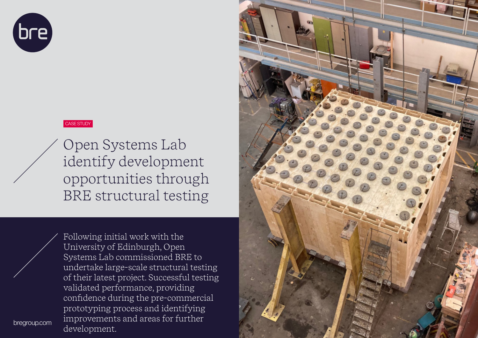

#### CASE STUDY

Open Systems Lab identify development opportunities through BRE structural testing

Following initial work with the University of Edinburgh, Open Systems Lab commissioned BRE to undertake large-scale structural testing of their latest project. Successful testing validated performance, providing confidence during the pre-commercial prototyping process and identifying improvements and areas for further development.

bregroup.com

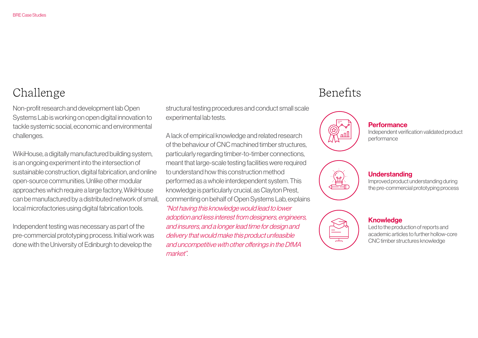# Challenge

Non-profit research and development lab Open Systems Lab is working on open digital innovation to tackle systemic social, economic and environmental challenges.

WikiHouse, a digitally manufactured building system, is an ongoing experiment into the intersection of sustainable construction, digital fabrication, and online open-source communities. Unlike other modular approaches which require a large factory, WikiHouse can be manufactured by a distributed network of small, local microfactories using digital fabrication tools.

Independent testing was necessary as part of the pre-commercial prototyping process. Initial work was done with the University of Edinburgh to develop the

structural testing procedures and conduct small scale experimental lab tests.

A lack of empirical knowledge and related research of the behaviour of CNC machined timber structures, particularly regarding timber-to-timber connections, meant that large-scale testing facilities were required to understand how this construction method performed as a whole interdependent system. This knowledge is particularly crucial, as Clayton Prest, commenting on behalf of Open Systems Lab, explains "Not having this knowledge would lead to lower adoption and less interest from designers, engineers, and insurers, and a longer lead time for design and delivery that would make this product unfeasible and uncompetitive with other offerings in the DfMA market".

# Benefits



**Performance** Independent verification validated product performance



## **Understanding**

Improved product understanding during the pre-commercial prototyping process



### **Knowledge**

Led to the production of reports and academic articles to further hollow-core CNC timber structures knowledge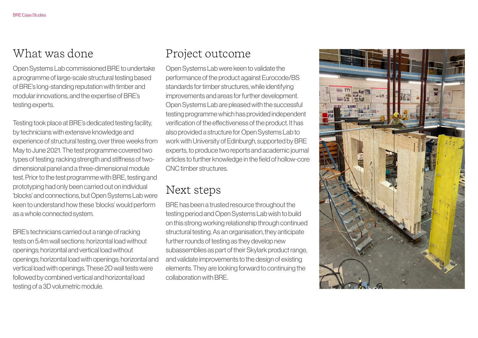Open Systems Lab commissioned BRE to undertake a programme of large-scale structural testing based of BRE's long-standing reputation with timber and modular innovations, and the expertise of BRE's testing experts.

Testing took place at BRE's dedicated testing facility, by technicians with extensive knowledge and experience of structural testing, over three weeks from May to June 2021. The test programme covered two types of testing: racking strength and stiffness of twodimensional panel and a three-dimensional module test. Prior to the test programme with BRE, testing and prototyping had only been carried out on individual 'blocks' and connections, but Open Systems Lab were keen to understand how these 'blocks' would perform as a whole connected system.

BRE's technicians carried out a range of racking tests on 5.4m wall sections: horizontal load without openings; horizontal and vertical load without openings; horizontal load with openings; horizontal and vertical load with openings. These 2D wall tests were followed by combined vertical and horizontal load testing of a 3D volumetric module.

## What was done **Project** outcome

Open Systems Lab were keen to validate the performance of the product against Eurocode/BS standards for timber structures, while identifying improvements and areas for further development. Open Systems Lab are pleased with the successful testing programme which has provided independent verification of the effectiveness of the product. It has also provided a structure for Open Systems Lab to work with University of Edinburgh, supported by BRE experts, to produce two reports and academic journal articles to further knowledge in the field of hollow-core CNC timber structures.

## Next steps

BRE has been a trusted resource throughout the testing period and Open Systems Lab wish to build on this strong working relationship through continued structural testing. As an organisation, they anticipate further rounds of testing as they develop new subassemblies as part of their Skylark product range, and validate improvements to the design of existing elements. They are looking forward to continuing the collaboration with BRE.